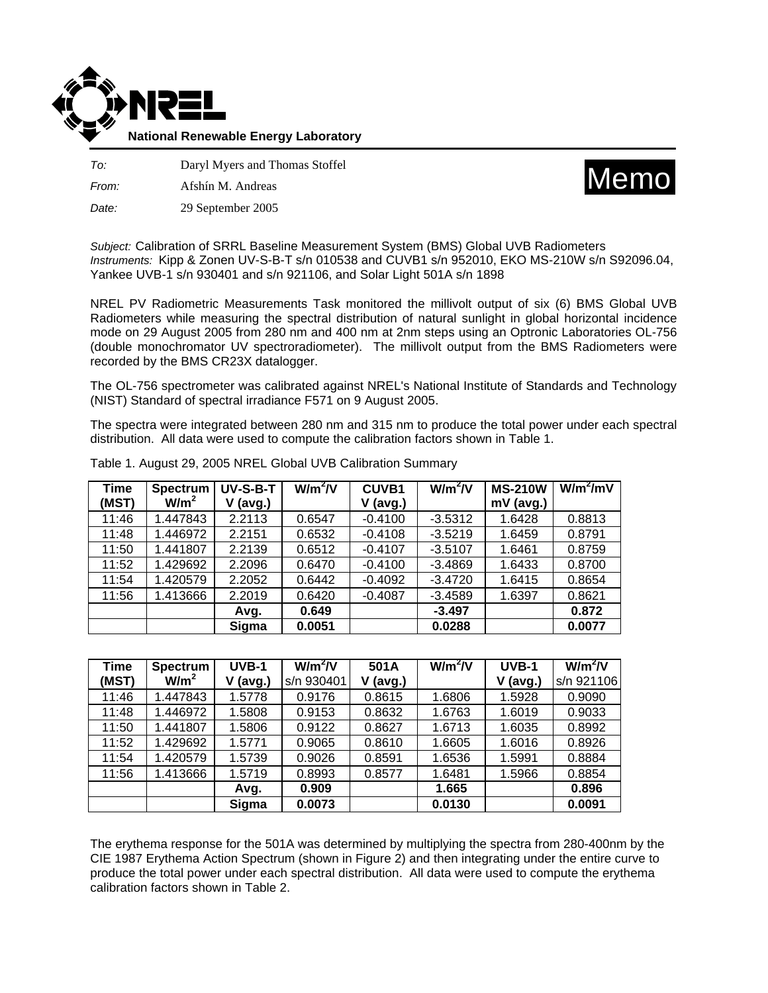

*To:* Daryl Myers and Thomas Stoffel

*From:* Afshín M. Andreas

*Date:* 29 September 2005



*Subject:* Calibration of SRRL Baseline Measurement System (BMS) Global UVB Radiometers *Instruments:* Kipp & Zonen UV-S-B-T s/n 010538 and CUVB1 s/n 952010, EKO MS-210W s/n S92096.04, Yankee UVB-1 s/n 930401 and s/n 921106, and Solar Light 501A s/n 1898

NREL PV Radiometric Measurements Task monitored the millivolt output of six (6) BMS Global UVB Radiometers while measuring the spectral distribution of natural sunlight in global horizontal incidence mode on 29 August 2005 from 280 nm and 400 nm at 2nm steps using an Optronic Laboratories OL-756 (double monochromator UV spectroradiometer). The millivolt output from the BMS Radiometers were recorded by the BMS CR23X datalogger.

The OL-756 spectrometer was calibrated against NREL's National Institute of Standards and Technology (NIST) Standard of spectral irradiance F571 on 9 August 2005.

The spectra were integrated between 280 nm and 315 nm to produce the total power under each spectral distribution. All data were used to compute the calibration factors shown in Table 1.

| <b>Time</b> | <b>Spectrum</b>  | UV-S-B-T | $W/m^2/V$ | <b>CUVB1</b> | $W/m^2/V$ | <b>MS-210W</b> | $W/m^2/mV$ |
|-------------|------------------|----------|-----------|--------------|-----------|----------------|------------|
| (MST)       | W/m <sup>2</sup> | (avg.)   |           | (avg.)<br>۷  |           | mV (avg.)      |            |
| 11:46       | 1.447843         | 2.2113   | 0.6547    | $-0.4100$    | $-3.5312$ | 1.6428         | 0.8813     |
| 11:48       | 1.446972         | 2.2151   | 0.6532    | $-0.4108$    | $-3.5219$ | 1.6459         | 0.8791     |
| 11:50       | 1.441807         | 2.2139   | 0.6512    | $-0.4107$    | $-3.5107$ | 1.6461         | 0.8759     |
| 11:52       | 1.429692         | 2.2096   | 0.6470    | $-0.4100$    | $-3.4869$ | 1.6433         | 0.8700     |
| 11:54       | 1.420579         | 2.2052   | 0.6442    | $-0.4092$    | $-3.4720$ | 1.6415         | 0.8654     |
| 11:56       | 1.413666         | 2.2019   | 0.6420    | $-0.4087$    | $-3.4589$ | 1.6397         | 0.8621     |
|             |                  | Avg.     | 0.649     |              | $-3.497$  |                | 0.872      |
|             |                  | Sigma    | 0.0051    |              | 0.0288    |                | 0.0077     |

Table 1. August 29, 2005 NREL Global UVB Calibration Summary

| <b>Time</b> | <b>Spectrum</b>  | <b>UVB-1</b> | $W/m^2/V$  | 501A       | $W/m^2/V$ | UVB-1       | $W/m^2/V$  |
|-------------|------------------|--------------|------------|------------|-----------|-------------|------------|
| (MST)       | W/m <sup>2</sup> | (avg.)       | s/n 930401 | $V$ (avg.) |           | (avg.)<br>V | s/n 921106 |
| 11:46       | 1.447843         | 1.5778       | 0.9176     | 0.8615     | 1.6806    | 1.5928      | 0.9090     |
| 11:48       | 1.446972         | 1.5808       | 0.9153     | 0.8632     | 1.6763    | 1.6019      | 0.9033     |
| 11:50       | 1.441807         | 1.5806       | 0.9122     | 0.8627     | 1.6713    | 1.6035      | 0.8992     |
| 11:52       | 1.429692         | 1.5771       | 0.9065     | 0.8610     | 1.6605    | 1.6016      | 0.8926     |
| 11:54       | 1.420579         | 1.5739       | 0.9026     | 0.8591     | 1.6536    | 1.5991      | 0.8884     |
| 11:56       | 1.413666         | 1.5719       | 0.8993     | 0.8577     | 1.6481    | 1.5966      | 0.8854     |
|             |                  | Avg.         | 0.909      |            | 1.665     |             | 0.896      |
|             |                  | Sigma        | 0.0073     |            | 0.0130    |             | 0.0091     |

The erythema response for the 501A was determined by multiplying the spectra from 280-400nm by the CIE 1987 Erythema Action Spectrum (shown in Figure 2) and then integrating under the entire curve to produce the total power under each spectral distribution. All data were used to compute the erythema calibration factors shown in Table 2.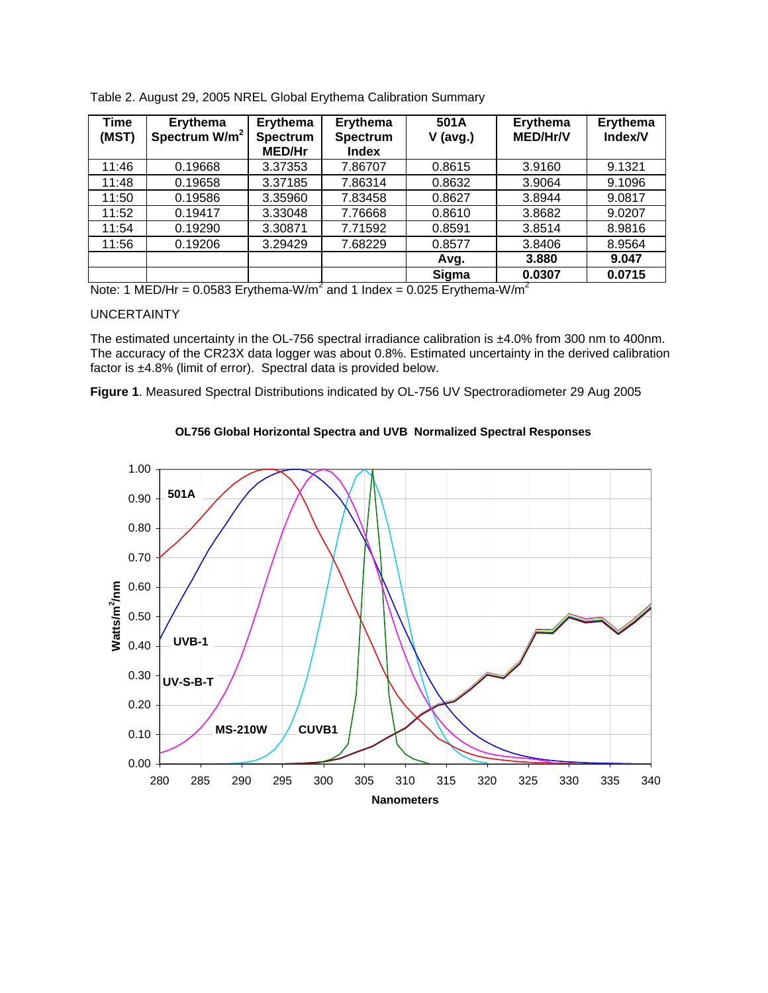| <b>Time</b><br>(MST) | <b>Erythema</b><br>Spectrum W/m <sup>2</sup> | <b>Erythema</b><br><b>Spectrum</b><br><b>MED/Hr</b> | Erythema<br><b>Spectrum</b><br><b>Index</b> | 501A<br>$V$ (avg.) | Erythema<br><b>MED/Hr/V</b> | <b>Erythema</b><br>Index/V |
|----------------------|----------------------------------------------|-----------------------------------------------------|---------------------------------------------|--------------------|-----------------------------|----------------------------|
| 11:46                | 0.19668                                      | 3.37353                                             | 7.86707                                     | 0.8615             | 3.9160                      | 9.1321                     |
| 11:48                | 0.19658                                      | 3.37185                                             | 7.86314                                     | 0.8632             | 3.9064                      | 9.1096                     |
| 11:50                | 0.19586                                      | 3.35960                                             | 7.83458                                     | 0.8627             | 3.8944                      | 9.0817                     |
| 11:52                | 0.19417                                      | 3.33048                                             | 7.76668                                     | 0.8610             | 3.8682                      | 9.0207                     |
| 11:54                | 0.19290                                      | 3.30871                                             | 7.71592                                     | 0.8591             | 3.8514                      | 8.9816                     |
| 11:56                | 0.19206                                      | 3.29429                                             | 7.68229                                     | 0.8577             | 3.8406                      | 8.9564                     |
|                      |                                              |                                                     |                                             | Avg.               | 3.880                       | 9.047                      |
|                      |                                              |                                                     |                                             | Sigma              | 0.0307                      | 0.0715                     |

Table 2. August 29, 2005 NREL Global Erythema Calibration Summary

Note: 1 MED/Hr = 0.0583 Erythema-W/m<sup>2</sup> and 1 Index = 0.025 Erythema-W/m<sup>2</sup>

## UNCERTAINTY

The estimated uncertainty in the OL-756 spectral irradiance calibration is ±4.0% from 300 nm to 400nm. The accuracy of the CR23X data logger was about 0.8%. Estimated uncertainty in the derived calibration factor is ±4.8% (limit of error). Spectral data is provided below.

**Figure 1**. Measured Spectral Distributions indicated by OL-756 UV Spectroradiometer 29 Aug 2005



## **OL756 Global Horizontal Spectra and UVB Normalized Spectral Responses**